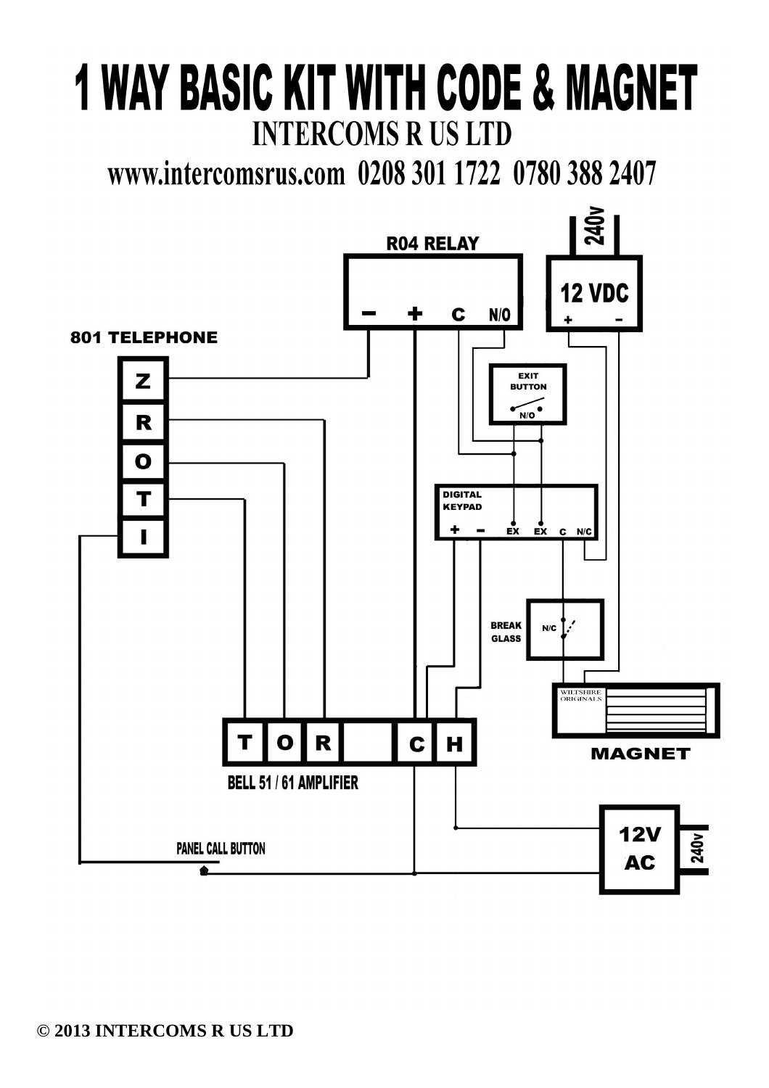# **1 WAY BASIC KIT WITH CODE & MAGNET INTERCOMS R US LTD**

www.intercomsrus.com 0208 301 1722 0780 388 2407